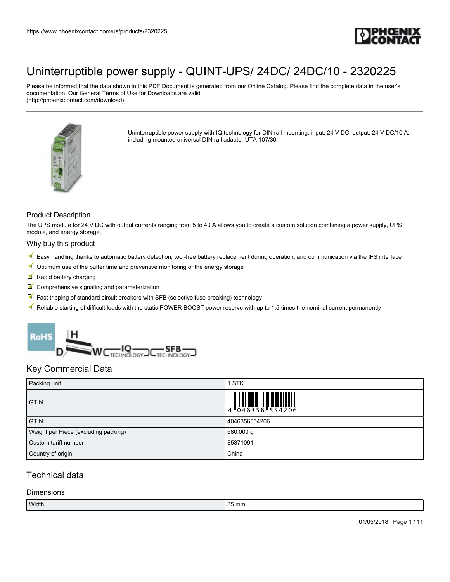

Please be informed that the data shown in this PDF Document is generated from our Online Catalog. Please find the complete data in the user's documentation. Our General Terms of Use for Downloads are valid (http://phoenixcontact.com/download)



Uninterruptible power supply with IQ technology for DIN rail mounting, input: 24 V DC, output: 24 V DC/10 A, including mounted universal DIN rail adapter UTA 107/30

### Product Description

The UPS module for 24 V DC with output currents ranging from 5 to 40 A allows you to create a custom solution combining a power supply, UPS module, and energy storage.

#### Why buy this product

- $\mathbb F$  Easy handling thanks to automatic battery detection, tool-free battery replacement during operation, and communication via the IFS interface
- $\blacksquare$  Optimum use of the buffer time and preventive monitoring of the energy storage
- **Rapid battery charging**
- $\blacksquare$  Comprehensive signaling and parameterization
- $\mathbb F$  Fast tripping of standard circuit breakers with SFB (selective fuse breaking) technology
- $\mathbb N$  Reliable starting of difficult loads with the static POWER BOOST power reserve with up to 1.5 times the nominal current permanently



## Key Commercial Data

| Packing unit                         | <b>STK</b>                                                                                                                                                                                                                                                                                                                                                                                                                                                                                                                                                      |
|--------------------------------------|-----------------------------------------------------------------------------------------------------------------------------------------------------------------------------------------------------------------------------------------------------------------------------------------------------------------------------------------------------------------------------------------------------------------------------------------------------------------------------------------------------------------------------------------------------------------|
| <b>GTIN</b>                          | $\begin{array}{c} \begin{array}{c} \begin{array}{c} \end{array} \\ \begin{array}{c} \end{array} \\ \begin{array}{c} \end{array} \\ \begin{array}{c} \end{array} \\ \begin{array}{c} \end{array} \\ \begin{array}{c} \end{array} \\ \begin{array}{c} \end{array} \\ \begin{array}{c} \end{array} \\ \begin{array}{c} \end{array} \\ \begin{array}{c} \end{array} \\ \begin{array}{c} \end{array} \\ \begin{array}{c} \end{array} \\ \begin{array}{c} \end{array} \\ \begin{array}{c} \end{array} \\ \begin{array}{c} \end{array} \\ \begin{array}{c} \end{array$ |
| <b>GTIN</b>                          | 4046356554206                                                                                                                                                                                                                                                                                                                                                                                                                                                                                                                                                   |
| Weight per Piece (excluding packing) | 680.000 g                                                                                                                                                                                                                                                                                                                                                                                                                                                                                                                                                       |
| Custom tariff number                 | 85371091                                                                                                                                                                                                                                                                                                                                                                                                                                                                                                                                                        |
| Country of origin                    | China                                                                                                                                                                                                                                                                                                                                                                                                                                                                                                                                                           |

# Technical data

#### **Dimensions**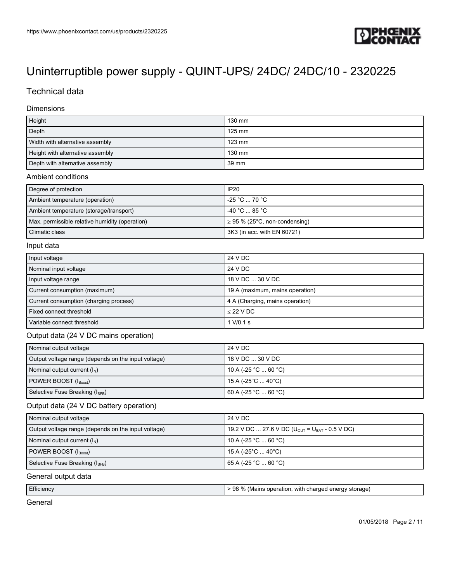

# Technical data

### Dimensions

| Height                           | 130 mm   |
|----------------------------------|----------|
| Depth                            | $125$ mm |
| Width with alternative assembly  | $123$ mm |
| Height with alternative assembly | 130 mm   |
| Depth with alternative assembly  | 39 mm    |

#### Ambient conditions

| Degree of protection                           | IP20                               |
|------------------------------------------------|------------------------------------|
| Ambient temperature (operation)                | $-25 \degree C \dots 70 \degree C$ |
| Ambient temperature (storage/transport)        | -40 °C  85 °C                      |
| Max. permissible relative humidity (operation) | $\geq$ 95 % (25°C, non-condensing) |
| Climatic class                                 | 3K3 (in acc. with EN 60721)        |

### Input data

| Input voltage                          | 24 V DC                         |
|----------------------------------------|---------------------------------|
| Nominal input voltage                  | 24 V DC                         |
| Input voltage range                    | 18 V DC  30 V DC                |
| Current consumption (maximum)          | 19 A (maximum, mains operation) |
| Current consumption (charging process) | 4 A (Charging, mains operation) |
| Fixed connect threshold                | $<$ 22 V DC                     |
| Variable connect threshold             | 1 V/0.1 s                       |

### Output data (24 V DC mains operation)

| Nominal output voltage                              | 24 V DC              |
|-----------------------------------------------------|----------------------|
| Output voltage range (depends on the input voltage) | $18$ V DC $$ 30 V DC |
| Nominal output current $(I_N)$                      | 10 A (-25 °C  60 °C) |
| POWER BOOST (I <sub>Boost</sub> )                   | 15 A (-25°C  40°C)   |
| Selective Fuse Breaking $(I_{\text{SFR}})$          | 60 A (-25 °C  60 °C) |

## Output data (24 V DC battery operation)

| Nominal output voltage                              | 24 V DC                                                                |
|-----------------------------------------------------|------------------------------------------------------------------------|
| Output voltage range (depends on the input voltage) | 19.2 V DC  27.6 V DC ( $U_{\text{OUT}}$ = $U_{\text{BAT}}$ - 0.5 V DC) |
| Nominal output current $(I_N)$                      | 10 A (-25 °C  60 °C)                                                   |
| $\vert$ POWER BOOST $(I_{\text{Boost}})$            | 15 A (-25°C  40°C)                                                     |
| Selective Fuse Breaking (ISEB)                      | 65 A (-25 °C … 60 °C)                                                  |

#### General output data

|--|

General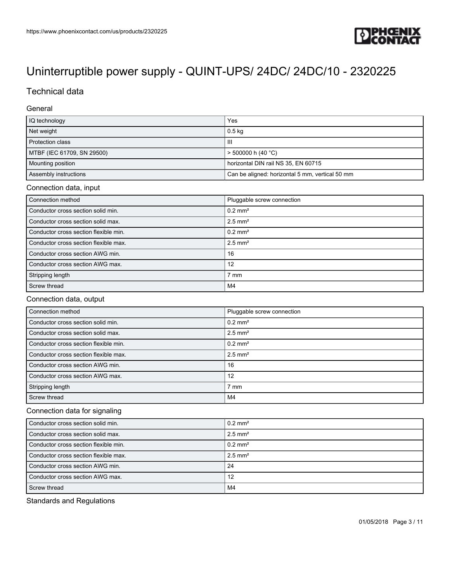

# Technical data

### General

| IQ technology              | Yes                                             |
|----------------------------|-------------------------------------------------|
| Net weight                 | $0.5$ kg                                        |
| Protection class           | Ш                                               |
| MTBF (IEC 61709, SN 29500) | $>$ 500000 h (40 °C)                            |
| Mounting position          | horizontal DIN rail NS 35, EN 60715             |
| Assembly instructions      | Can be aligned: horizontal 5 mm, vertical 50 mm |

#### Connection data, input

| Connection method                     | Pluggable screw connection |
|---------------------------------------|----------------------------|
| Conductor cross section solid min.    | $0.2$ mm <sup>2</sup>      |
| Conductor cross section solid max.    | $2.5$ mm <sup>2</sup>      |
| Conductor cross section flexible min. | $0.2$ mm <sup>2</sup>      |
| Conductor cross section flexible max. | $2.5$ mm <sup>2</sup>      |
| Conductor cross section AWG min.      | 16                         |
| Conductor cross section AWG max.      | 12                         |
| Stripping length                      | $7 \text{ mm}$             |
| Screw thread                          | M4                         |

### Connection data, output

| Connection method                     | Pluggable screw connection |
|---------------------------------------|----------------------------|
| Conductor cross section solid min.    | $0.2$ mm <sup>2</sup>      |
| Conductor cross section solid max.    | $2.5$ mm <sup>2</sup>      |
| Conductor cross section flexible min. | $0.2$ mm <sup>2</sup>      |
| Conductor cross section flexible max. | $2.5$ mm <sup>2</sup>      |
| Conductor cross section AWG min.      | 16                         |
| Conductor cross section AWG max.      | 12                         |
| Stripping length                      | $7 \text{ mm}$             |
| Screw thread                          | M4                         |

### Connection data for signaling

| Conductor cross section solid min.    | $10.2 \text{ mm}^2$   |
|---------------------------------------|-----------------------|
| Conductor cross section solid max.    | $2.5$ mm <sup>2</sup> |
| Conductor cross section flexible min. | $10.2 \text{ mm}^2$   |
| Conductor cross section flexible max. | $2.5$ mm <sup>2</sup> |
| Conductor cross section AWG min.      | -24                   |
| Conductor cross section AWG max.      | 12                    |
| Screw thread                          | M4                    |

Standards and Regulations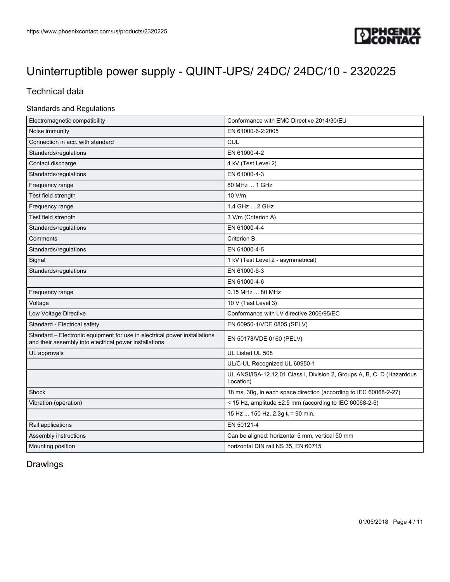

# Technical data

### Standards and Regulations

| Electromagnetic compatibility                                                                                                       | Conformance with EMC Directive 2014/30/EU                                           |
|-------------------------------------------------------------------------------------------------------------------------------------|-------------------------------------------------------------------------------------|
| Noise immunity                                                                                                                      | EN 61000-6-2:2005                                                                   |
| Connection in acc. with standard                                                                                                    | <b>CUL</b>                                                                          |
| Standards/regulations                                                                                                               | EN 61000-4-2                                                                        |
| Contact discharge                                                                                                                   | 4 kV (Test Level 2)                                                                 |
| Standards/regulations                                                                                                               | EN 61000-4-3                                                                        |
| Frequency range                                                                                                                     | 80 MHz  1 GHz                                                                       |
| Test field strength                                                                                                                 | 10 V/m                                                                              |
| Frequency range                                                                                                                     | 1.4 GHz  2 GHz                                                                      |
| Test field strength                                                                                                                 | 3 V/m (Criterion A)                                                                 |
| Standards/regulations                                                                                                               | EN 61000-4-4                                                                        |
| Comments                                                                                                                            | Criterion B                                                                         |
| Standards/regulations                                                                                                               | EN 61000-4-5                                                                        |
| Signal                                                                                                                              | 1 kV (Test Level 2 - asymmetrical)                                                  |
| Standards/regulations                                                                                                               | EN 61000-6-3                                                                        |
|                                                                                                                                     | EN 61000-4-6                                                                        |
| Frequency range                                                                                                                     | 0.15 MHz  80 MHz                                                                    |
| Voltage                                                                                                                             | 10 V (Test Level 3)                                                                 |
| Low Voltage Directive                                                                                                               | Conformance with LV directive 2006/95/EC                                            |
| Standard - Electrical safety                                                                                                        | EN 60950-1/VDE 0805 (SELV)                                                          |
| Standard - Electronic equipment for use in electrical power installations<br>and their assembly into electrical power installations | EN 50178/VDE 0160 (PELV)                                                            |
| UL approvals                                                                                                                        | UL Listed UL 508                                                                    |
|                                                                                                                                     | UL/C-UL Recognized UL 60950-1                                                       |
|                                                                                                                                     | UL ANSI/ISA-12.12.01 Class I, Division 2, Groups A, B, C, D (Hazardous<br>Location) |
| Shock                                                                                                                               | 18 ms, 30g, in each space direction (according to IEC 60068-2-27)                   |
| Vibration (operation)                                                                                                               | < 15 Hz, amplitude $\pm 2.5$ mm (according to IEC 60068-2-6)                        |
|                                                                                                                                     | 15 Hz  150 Hz, 2.3g $t_v$ = 90 min.                                                 |
| Rail applications                                                                                                                   | EN 50121-4                                                                          |
| Assembly instructions                                                                                                               | Can be aligned: horizontal 5 mm, vertical 50 mm                                     |
| Mounting position                                                                                                                   | horizontal DIN rail NS 35, EN 60715                                                 |

# Drawings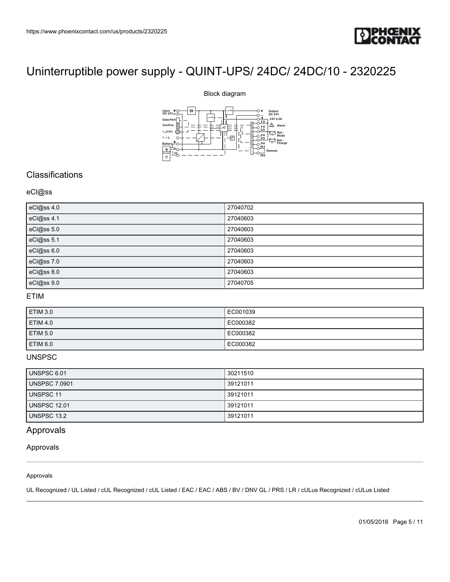

#### Block diagram



# **Classifications**

#### eCl@ss

| https://www.phoenixcontact.com/us/products/2320225                                                        |                                                                      |
|-----------------------------------------------------------------------------------------------------------|----------------------------------------------------------------------|
|                                                                                                           | D PHOT                                                               |
|                                                                                                           |                                                                      |
| Uninterruptible power supply - QUINT-UPS/ 24DC/ 24DC/10 - 2320225                                         |                                                                      |
|                                                                                                           | Block diagram                                                        |
| ₩                                                                                                         |                                                                      |
| $\begin{array}{c}\n\text{Input} + \text{C} \\ \text{DC } 24\text{V} - \text{C}\n\end{array}$<br>Data-Port | Output<br>DC 24V<br>24V 0,2A                                         |
| $\mathop{\mathsf{Confirm}}$<br>$\mathfrak{t}_{\scriptscriptstyle{\text{max}}}[\text{min}]$                | $\triangle$ Alarm                                                    |
| $\mathsf{I}\,<\mathsf{I}\xspace_\mathrm{n}$<br>C<br>Battery                                               | $T_{\overline{Q}}$ Bat.<br>Mode<br>$\theta$<br>Bat.-<br>Charge<br>R1 |
| d.<br>$1 - 0$<br>$\vartheta$                                                                              | Remote<br>R <sub>2</sub>                                             |
|                                                                                                           |                                                                      |
| Classifications                                                                                           |                                                                      |
| eCl@ss                                                                                                    |                                                                      |
| eCl@ss 4.0                                                                                                | 27040702                                                             |
| eCl@ss 4.1                                                                                                | 27040603                                                             |
| eCl@ss 5.0                                                                                                | 27040603                                                             |
| eCl@ss 5.1                                                                                                | 27040603                                                             |
| eCl@ss 6.0                                                                                                | 27040603                                                             |
| eCl@ss 7.0                                                                                                | 27040603                                                             |
| eCl@ss 8.0<br>eCl@ss 9.0                                                                                  | 27040603<br>27040705                                                 |

## ETIM

| <b>ETIM 3.0</b> | EC001039 |
|-----------------|----------|
| <b>ETIM 4.0</b> | EC000382 |
| <b>ETIM 5.0</b> | EC000382 |
| <b>ETIM 6.0</b> | EC000382 |

### UNSPSC

| UNSPSC 6.01          | 30211510 |
|----------------------|----------|
| <b>UNSPSC 7.0901</b> | 39121011 |
| UNSPSC 11            | 39121011 |
| <b>UNSPSC 12.01</b>  | 39121011 |
| <b>UNSPSC 13.2</b>   | 39121011 |

# Approvals

#### Approvals

#### Approvals

UL Recognized / UL Listed / cUL Recognized / cUL Listed / EAC / EAC / ABS / BV / DNV GL / PRS / LR / cULus Recognized / cULus Listed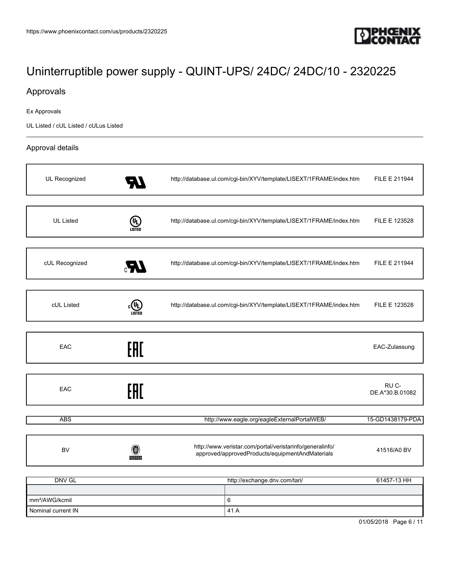

# Approvals

Ex Approvals

UL Listed / cUL Listed / cULus Listed

### Approval details

| UL Recognized              |                               | http://database.ul.com/cgi-bin/XYV/template/LISEXT/1FRAME/index.htm                                         | FILE E 211944            |
|----------------------------|-------------------------------|-------------------------------------------------------------------------------------------------------------|--------------------------|
|                            |                               |                                                                                                             |                          |
| <b>UL Listed</b>           | (VL)<br>LISTED                | http://database.ul.com/cgi-bin/XYV/template/LISEXT/1FRAME/index.htm                                         | FILE E 123528            |
|                            |                               |                                                                                                             |                          |
| cUL Recognized             | Æ,                            | http://database.ul.com/cgi-bin/XYV/template/LISEXT/1FRAME/index.htm                                         | FILE E 211944            |
|                            |                               |                                                                                                             |                          |
| cUL Listed                 | LISTED                        | http://database.ul.com/cgi-bin/XYV/template/LISEXT/1FRAME/index.htm                                         | FILE E 123528            |
|                            |                               |                                                                                                             |                          |
| EAC                        | EAC                           |                                                                                                             | EAC-Zulassung            |
|                            |                               |                                                                                                             |                          |
| EAC                        | EAC                           |                                                                                                             | RU C-<br>DE.A*30.B.01082 |
|                            |                               |                                                                                                             |                          |
| <b>ABS</b>                 |                               | http://www.eagle.org/eagleExternalPortalWEB/                                                                | 15-GD1438179-PDA         |
|                            |                               |                                                                                                             |                          |
| <b>BV</b>                  | 0<br><b>BUREAU</b><br>VERITAS | http://www.veristar.com/portal/veristarinfo/generalinfo/<br>approved/approvedProducts/equipmentAndMaterials | 41516/A0 BV              |
|                            |                               |                                                                                                             |                          |
| DNV GL                     |                               | http://exchange.dnv.com/tari/                                                                               | 61457-13 HH              |
|                            |                               |                                                                                                             |                          |
| mm <sup>2</sup> /AWG/kcmil |                               | 6                                                                                                           |                          |
| Nominal current IN         |                               | 41 A                                                                                                        |                          |

01/05/2018 Page 6 / 11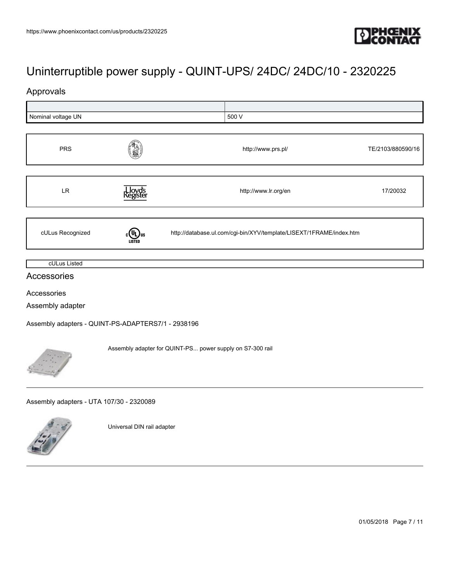

# Approvals

| Nominal voltage UN                                        |                            | 500 V                                                               |                   |  |
|-----------------------------------------------------------|----------------------------|---------------------------------------------------------------------|-------------------|--|
|                                                           |                            |                                                                     |                   |  |
| <b>PRS</b>                                                |                            | http://www.prs.pl/                                                  | TE/2103/880590/16 |  |
| LR                                                        | , Lloyd's<br>Register      | http://www.lr.org/en                                                | 17/20032          |  |
| cULus Recognized                                          | LISTED                     | http://database.ul.com/cgi-bin/XYV/template/LISEXT/1FRAME/index.htm |                   |  |
| cULus Listed                                              |                            |                                                                     |                   |  |
| Accessories                                               |                            |                                                                     |                   |  |
| Accessories                                               |                            |                                                                     |                   |  |
| Assembly adapter                                          |                            |                                                                     |                   |  |
| Assembly adapters - QUINT-PS-ADAPTERS7/1 - 2938196        |                            |                                                                     |                   |  |
| Assembly adapter for QUINT-PS power supply on S7-300 rail |                            |                                                                     |                   |  |
| Assembly adapters - UTA 107/30 - 2320089                  |                            |                                                                     |                   |  |
|                                                           | Universal DIN rail adapter |                                                                     |                   |  |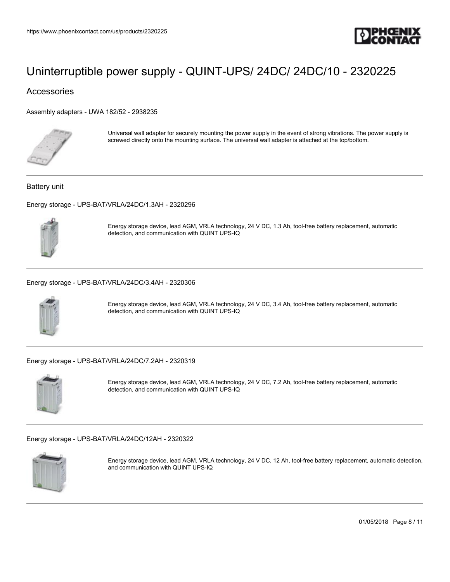

## Accessories

[Assembly adapters - UWA 182/52 - 2938235](https://www.phoenixcontact.com/us/products/2938235)



Universal wall adapter for securely mounting the power supply in the event of strong vibrations. The power supply is screwed directly onto the mounting surface. The universal wall adapter is attached at the top/bottom.

#### Battery unit

[Energy storage - UPS-BAT/VRLA/24DC/1.3AH - 2320296](https://www.phoenixcontact.com/us/products/2320296)



Energy storage device, lead AGM, VRLA technology, 24 V DC, 1.3 Ah, tool-free battery replacement, automatic detection, and communication with QUINT UPS-IQ

[Energy storage - UPS-BAT/VRLA/24DC/3.4AH - 2320306](https://www.phoenixcontact.com/us/products/2320306)



Energy storage device, lead AGM, VRLA technology, 24 V DC, 3.4 Ah, tool-free battery replacement, automatic detection, and communication with QUINT UPS-IQ

[Energy storage - UPS-BAT/VRLA/24DC/7.2AH - 2320319](https://www.phoenixcontact.com/us/products/2320319)



Energy storage device, lead AGM, VRLA technology, 24 V DC, 7.2 Ah, tool-free battery replacement, automatic detection, and communication with QUINT UPS-IQ

[Energy storage - UPS-BAT/VRLA/24DC/12AH - 2320322](https://www.phoenixcontact.com/us/products/2320322)



Energy storage device, lead AGM, VRLA technology, 24 V DC, 12 Ah, tool-free battery replacement, automatic detection, and communication with QUINT UPS-IQ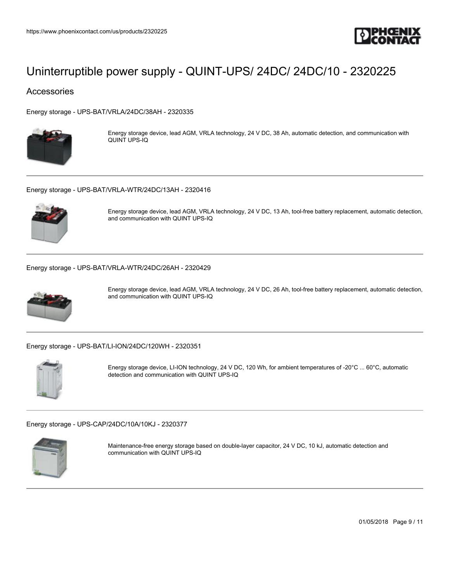

### Accessories

[Energy storage - UPS-BAT/VRLA/24DC/38AH - 2320335](https://www.phoenixcontact.com/us/products/2320335)



Energy storage device, lead AGM, VRLA technology, 24 V DC, 38 Ah, automatic detection, and communication with QUINT UPS-IQ

[Energy storage - UPS-BAT/VRLA-WTR/24DC/13AH - 2320416](https://www.phoenixcontact.com/us/products/2320416)



Energy storage device, lead AGM, VRLA technology, 24 V DC, 13 Ah, tool-free battery replacement, automatic detection, and communication with QUINT UPS-IQ

[Energy storage - UPS-BAT/VRLA-WTR/24DC/26AH - 2320429](https://www.phoenixcontact.com/us/products/2320429)



Energy storage device, lead AGM, VRLA technology, 24 V DC, 26 Ah, tool-free battery replacement, automatic detection, and communication with QUINT UPS-IQ

[Energy storage - UPS-BAT/LI-ION/24DC/120WH - 2320351](https://www.phoenixcontact.com/us/products/2320351)



Energy storage device, LI-ION technology, 24 V DC, 120 Wh, for ambient temperatures of -20°C ... 60°C, automatic detection and communication with QUINT UPS-IQ

[Energy storage - UPS-CAP/24DC/10A/10KJ - 2320377](https://www.phoenixcontact.com/us/products/2320377)



Maintenance-free energy storage based on double-layer capacitor, 24 V DC, 10 kJ, automatic detection and communication with QUINT UPS-IQ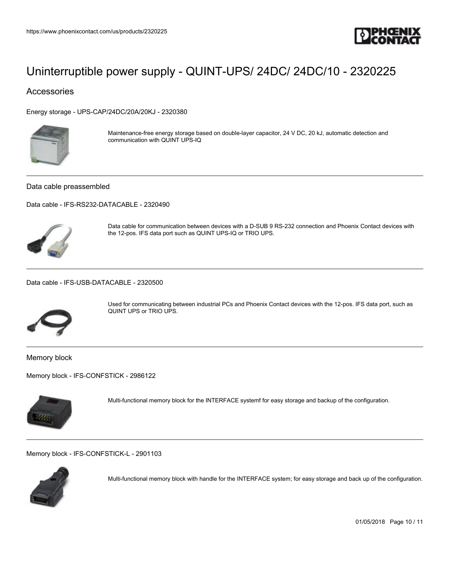

## Accessories

[Energy storage - UPS-CAP/24DC/20A/20KJ - 2320380](https://www.phoenixcontact.com/us/products/2320380)



Maintenance-free energy storage based on double-layer capacitor, 24 V DC, 20 kJ, automatic detection and communication with QUINT UPS-IQ

Data cable preassembled

[Data cable - IFS-RS232-DATACABLE - 2320490](https://www.phoenixcontact.com/us/products/2320490)



Data cable for communication between devices with a D-SUB 9 RS-232 connection and Phoenix Contact devices with the 12-pos. IFS data port such as QUINT UPS-IQ or TRIO UPS.

[Data cable - IFS-USB-DATACABLE - 2320500](https://www.phoenixcontact.com/us/products/2320500)



Used for communicating between industrial PCs and Phoenix Contact devices with the 12-pos. IFS data port, such as QUINT UPS or TRIO UPS.

Memory block

[Memory block - IFS-CONFSTICK - 2986122](https://www.phoenixcontact.com/us/products/2986122)



Multi-functional memory block for the INTERFACE systemf for easy storage and backup of the configuration.

[Memory block - IFS-CONFSTICK-L - 2901103](https://www.phoenixcontact.com/us/products/2901103)



Multi-functional memory block with handle for the INTERFACE system; for easy storage and back up of the configuration.

01/05/2018 Page 10 / 11